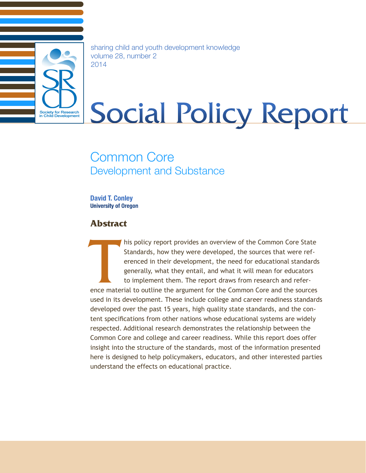

sharing child and youth development knowledge volume 28, number 2 2014

# Social Policy Report

# Common Core Development and Substance

# **David T. Conley University of Oregon**

# **Abstract**

Exercise Contractor his policy report provides an overview of the Common Core State Standards, how they were developed, the sources that were referenced in their development, the need for educational standards generally, what they entail, and what it will mean for educators to implement them. The report draws from research and reference material to outline the argument for the Common Core and the sources used in its development. These include college and career readiness standards developed over the past 15 years, high quality state standards, and the content specifications from other nations whose educational systems are widely respected. Additional research demonstrates the relationship between the Common Core and college and career readiness. While this report does offer insight into the structure of the standards, most of the information presented here is designed to help policymakers, educators, and other interested parties understand the effects on educational practice.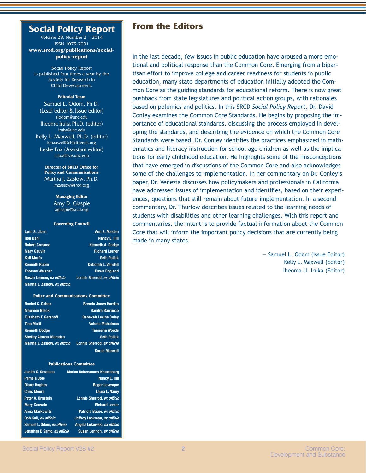# **Social Policy Report**

Volume 28, Number 2 | 2014 ISSN 1075-7031 **www.srcd.org/publications/socialpolicy-report**

Social Policy Report is published four times a year by the Society for Research in Child Development.

#### **Editorial Team**

Samuel L. Odom, Ph.D. (Lead editor & Issue editor) slodom@unc.edu Iheoma Iruka Ph.D. (editor) iruka@unc.edu Kelly L. Maxwell, Ph.D. (editor) kmaxwell@childtrends.org Leslie Fox (Assistant editor) lcfox@live.unc.edu

> **Director of SRCD Office for Policy and Communications** Martha J. Zaslow, Ph.D. mzaslow@srcd.org

#### **Managing Editor** Amy D. Glaspie aglaspie@srcd.org

#### **Governing Council**

| <b>Lynn S. Liben</b>         | <b>Ann S. Masten</b>       |  |  |
|------------------------------|----------------------------|--|--|
| <b>Ron Dahl</b>              | <b>Nancy E. Hill</b>       |  |  |
| <b>Robert Crosnoe</b>        | <b>Kenneth A. Dodge</b>    |  |  |
| <b>Mary Gauvin</b>           | <b>Richard Lerner</b>      |  |  |
| <b>Kofi Marfo</b>            | <b>Seth Pollak</b>         |  |  |
| <b>Kenneth Rubin</b>         | <b>Deborah L. Vandell</b>  |  |  |
| <b>Thomas Weisner</b>        | <b>Dawn England</b>        |  |  |
| Susan Lennon, ex officio     | Lonnie Sherrod, ex officio |  |  |
| Martha J. Zaslow, ex officio |                            |  |  |

#### **Policy and Communications Committee**

| <b>Rachel C. Cohen</b>        | <b>Brenda Jones Harden</b>  |  |  |
|-------------------------------|-----------------------------|--|--|
| <b>Maureen Black</b>          | <b>Sandra Barrueco</b>      |  |  |
| <b>Elizabeth T. Gershoff</b>  | <b>Rebekah Levine Coley</b> |  |  |
| Tina Malti                    | <b>Valerie Maholmes</b>     |  |  |
| <b>Kenneth Dodge</b>          | <b>Taniesha Woods</b>       |  |  |
| <b>Shelley Alonso-Marsden</b> | <b>Seth Pollak</b>          |  |  |
| Martha J. Zaslow, ex officio  | Lonnie Sherrod, ex officio  |  |  |
|                               | <b>Sarah Mancoll</b>        |  |  |

#### **Publications Committee**

| Judith G. Smetana            | <b>Marian Bakersmans-Kranenburg</b> |
|------------------------------|-------------------------------------|
| Pamela Cole                  | <b>Nancy E. Hill</b>                |
| <b>Diane Hughes</b>          | <b>Roger Levesque</b>               |
| <b>Chris Moore</b>           | Laura L. Namy                       |
| Peter A. Ornstein            | Lonnie Sherrod, ex officio          |
| <b>Mary Gauvain</b>          | <b>Richard Lerner</b>               |
| <b>Anna Markowitz</b>        | Patricia Bauer, ex officio          |
| Rob Kail, ex officio         | Jeffrey Lockman, ex officio         |
| Samuel L. Odom, ex officio   | Angela Lukowski, ex officio         |
| Jonathan B Santo, ex officio | Susan Lennon, ex officio            |

# **From the Editors**

In the last decade, few issues in public education have aroused a more emotional and political response than the Common Core. Emerging from a bipartisan effort to improve college and career readiness for students in public education, many state departments of education initially adopted the Common Core as the guiding standards for educational reform. There is now great pushback from state legislatures and political action groups, with rationales based on polemics and politics. In this SRCD *Social Policy Report,* Dr. David Conley examines the Common Core Standards. He begins by proposing the importance of educational standards, discussing the process employed in developing the standards, and describing the evidence on which the Common Core Standards were based. Dr. Conley identifies the practices emphasized in mathematics and literacy instruction for school-age children as well as the implications for early childhood education. He highlights some of the misconceptions that have emerged in discussions of the Common Core and also acknowledges some of the challenges to implementation. In her commentary on Dr. Conley's paper, Dr. Venezia discusses how policymakers and professionals in California have addressed issues of implementation and identifies, based on their experiences, questions that still remain about future implementation. In a second commentary, Dr. Thurlow describes issues related to the learning needs of students with disabilities and other learning challenges. With this report and commentaries, the intent is to provide factual information about the Common Core that will inform the important policy decisions that are currently being made in many states.

> — Samuel L. Odom (Issue Editor) Kelly L. Maxwell (Editor) Iheoma U. Iruka (Editor)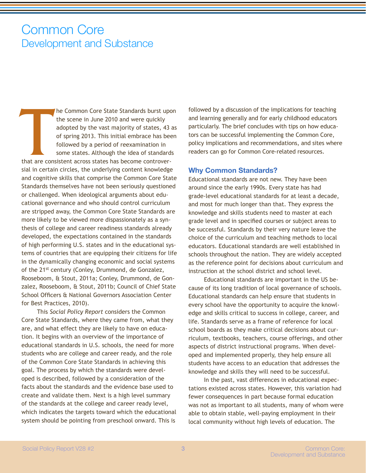# Common Core Development and Substance

That are completed to the contract of the contract of the contract of the contract of the contract of the contract of the contract of the contract of the contract of the contract of the contract of the contract of the cont he Common Core State Standards burst upon the scene in June 2010 and were quickly adopted by the vast majority of states, 43 as of spring 2013. This initial embrace has been followed by a period of reexamination in some states. Although the idea of standards that are consistent across states has become controversial in certain circles, the underlying content knowledge and cognitive skills that comprise the Common Core State Standards themselves have not been seriously questioned or challenged. When ideological arguments about educational governance and who should control curriculum are stripped away, the Common Core State Standards are more likely to be viewed more dispassionately as a synthesis of college and career readiness standards already developed, the expectations contained in the standards of high performing U.S. states and in the educational systems of countries that are equipping their citizens for life in the dynamically changing economic and social systems of the 21<sup>st</sup> century (Conley, Drummond, de Gonzalez, Rooseboom, & Stout, 2011a; Conley, Drummond, de Gonzalez, Rooseboom, & Stout, 2011b; Council of Chief State School Officers & National Governors Association Center for Best Practices, 2010).

This *Social Policy Report* considers the Common Core State Standards, where they came from, what they are, and what effect they are likely to have on education. It begins with an overview of the importance of educational standards in U.S. schools, the need for more students who are college and career ready, and the role of the Common Core State Standards in achieving this goal. The process by which the standards were developed is described, followed by a consideration of the facts about the standards and the evidence base used to create and validate them. Next is a high level summary of the standards at the college and career ready level, which indicates the targets toward which the educational system should be pointing from preschool onward. This is

followed by a discussion of the implications for teaching and learning generally and for early childhood educators particularly. The brief concludes with tips on how educators can be successful implementing the Common Core, policy implications and recommendations, and sites where readers can go for Common Core-related resources.

## **Why Common Standards?**

Educational standards are not new. They have been around since the early 1990s. Every state has had grade-level educational standards for at least a decade, and most for much longer than that. They express the knowledge and skills students need to master at each grade level and in specified courses or subject areas to be successful. Standards by their very nature leave the choice of the curriculum and teaching methods to local educators. Educational standards are well established in schools throughout the nation. They are widely accepted as the reference point for decisions about curriculum and instruction at the school district and school level.

Educational standards are important in the US because of its long tradition of local governance of schools. Educational standards can help ensure that students in every school have the opportunity to acquire the knowledge and skills critical to success in college, career, and life. Standards serve as a frame of reference for local school boards as they make critical decisions about curriculum, textbooks, teachers, course offerings, and other aspects of district instructional programs. When developed and implemented properly, they help ensure all students have access to an education that addresses the knowledge and skills they will need to be successful.

In the past, vast differences in educational expectations existed across states. However, this variation had fewer consequences in part because formal education was not as important to all students, many of whom were able to obtain stable, well-paying employment in their local community without high levels of education. The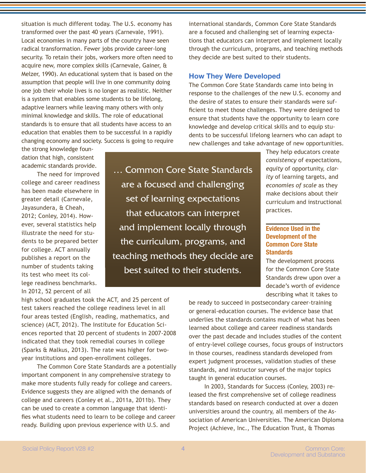situation is much different today. The U.S. economy has transformed over the past 40 years (Carnevale, 1991). Local economies in many parts of the country have seen radical transformation. Fewer jobs provide career-long security. To retain their jobs, workers more often need to acquire new, more complex skills (Carnevale, Gainer, & Melzer, 1990). An educational system that is based on the assumption that people will live in one community doing one job their whole lives is no longer as realistic. Neither is a system that enables some students to be lifelong, adaptive learners while leaving many others with only minimal knowledge and skills. The role of educational standards is to ensure that all students have access to an education that enables them to be successful in a rapidly changing economy and society. Success is going to require international standards, Common Core State Standards are a focused and challenging set of learning expectations that educators can interpret and implement locally through the curriculum, programs, and teaching methods they decide are best suited to their students.

# **How They Were Developed**

The Common Core State Standards came into being in response to the challenges of the new U.S. economy and the desire of states to ensure their standards were sufficient to meet those challenges. They were designed to ensure that students have the opportunity to learn core knowledge and develop critical skills and to equip students to be successful lifelong learners who can adapt to new challenges and take advantage of new opportunities.

the strong knowledge foundation that high, consistent academic standards provide.

The need for improved college and career readiness has been made elsewhere in greater detail (Carnevale, Jayasundera, & Cheah, 2012; Conley, 2014). However, several statistics help illustrate the need for students to be prepared better for college. ACT annually publishes a report on the number of students taking its test who meet its college readiness benchmarks. In 2012, 52 percent of all

… Common Core State Standards are a focused and challenging set of learning expectations that educators can interpret and implement locally through the curriculum, programs, and teaching methods they decide are best suited to their students.

They help educators create *consistency* of expectations, *equity* of opportunity, *clarity* of learning targets, and *economies of scale* as they make decisions about their curriculum and instructional practices.

# **Evidence Used in the Development of the Common Core State Standards**

The development process for the Common Core State Standards drew upon over a decade's worth of evidence describing what it takes to

high school graduates took the ACT, and 25 percent of test takers reached the college readiness level in all four areas tested (English, reading, mathematics, and science) (ACT, 2012). The Institute for Education Sciences reported that 20 percent of students in 2007-2008 indicated that they took remedial courses in college (Sparks & Malkus, 2013). The rate was higher for twoyear institutions and open-enrollment colleges.

The Common Core State Standards are a potentially important component in any comprehensive strategy to make more students fully ready for college and careers. Evidence suggests they are aligned with the demands of college and careers (Conley et al., 2011a, 2011b). They can be used to create a common language that identifies what students need to learn to be college and career ready. Building upon previous experience with U.S. and

be ready to succeed in postsecondary career-training or general-education courses. The evidence base that underlies the standards contains much of what has been learned about college and career readiness standards over the past decade and includes studies of the content of entry-level college courses, focus groups of instructors in those courses, readiness standards developed from expert judgment processes, validation studies of these standards, and instructor surveys of the major topics taught in general education courses.

In 2003, Standards for Success (Conley, 2003) released the first comprehensive set of college readiness standards based on research conducted at over a dozen universities around the country, all members of the Association of American Universities. The American Diploma Project (Achieve, Inc., The Education Trust, & Thomas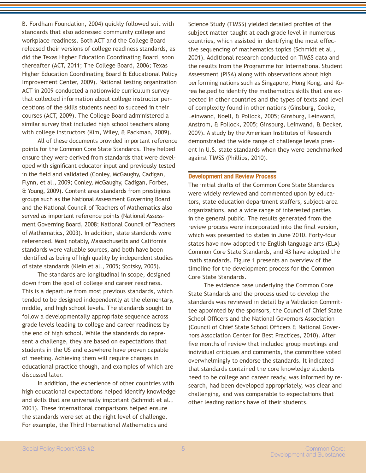B. Fordham Foundation, 2004) quickly followed suit with standards that also addressed community college and workplace readiness. Both ACT and the College Board released their versions of college readiness standards, as did the Texas Higher Education Coordinating Board, soon thereafter (ACT, 2011; The College Board, 2006; Texas Higher Education Coordinating Board & Educational Policy Improvement Center, 2009). National testing organization ACT in 2009 conducted a nationwide curriculum survey that collected information about college instructor perceptions of the skills students need to succeed in their courses (ACT, 2009). The College Board administered a similar survey that included high school teachers along with college instructors (Kim, Wiley, & Packman, 2009).

All of these documents provided important reference points for the Common Core State Standards. They helped ensure they were derived from standards that were developed with significant educator input and previously tested in the field and validated (Conley, McGaughy, Cadigan, Flynn, et al., 2009; Conley, McGaughy, Cadigan, Forbes, & Young, 2009). Content area standards from prestigious groups such as the National Assessment Governing Board and the National Council of Teachers of Mathematics also served as important reference points (National Assessment Governing Board, 2008; National Council of Teachers of Mathematics, 2003). In addition, state standards were referenced. Most notably, Massachusetts and California standards were valuable sources, and both have been identified as being of high quality by independent studies of state standards (Klein et al., 2005; Stotsky, 2005).

The standards are longitudinal in scope, designed down from the goal of college and career readiness. This is a departure from most previous standards, which tended to be designed independently at the elementary, middle, and high school levels. The standards sought to follow a developmentally appropriate sequence across grade levels leading to college and career readiness by the end of high school. While the standards do represent a challenge, they are based on expectations that students in the US and elsewhere have proven capable of meeting. Achieving them will require changes in educational practice though, and examples of which are discussed later.

In addition, the experience of other countries with high educational expectations helped identify knowledge and skills that are universally important (Schmidt et al., 2001). These international comparisons helped ensure the standards were set at the right level of challenge. For example, the Third International Mathematics and

Science Study (TIMSS) yielded detailed profiles of the subject matter taught at each grade level in numerous countries, which assisted in identifying the most effective sequencing of mathematics topics (Schmidt et al., 2001). Additional research conducted on TIMSS data and the results from the Programme for International Student Assessment (PISA) along with observations about high performing nations such as Singapore, Hong Kong, and Korea helped to identify the mathematics skills that are expected in other countries and the types of texts and level of complexity found in other nations (Ginsburg, Cooke, Leinwand, Noell, & Pollock, 2005; Ginsburg, Leinwand, Anstrom, & Pollock, 2005; Ginsburg, Leinwand, & Decker, 2009). A study by the American Institutes of Research demonstrated the wide range of challenge levels present in U.S. state standards when they were benchmarked against TIMSS (Phillips, 2010).

#### **Development and Review Process**

The initial drafts of the Common Core State Standards were widely reviewed and commented upon by educators, state education department staffers, subject-area organizations, and a wide range of interested parties in the general public. The results generated from the review process were incorporated into the final version, which was presented to states in June 2010. Forty-four states have now adopted the English language arts (ELA) Common Core State Standards, and 43 have adopted the math standards. Figure 1 presents an overview of the timeline for the development process for the Common Core State Standards.

The evidence base underlying the Common Core State Standards and the process used to develop the standards was reviewed in detail by a Validation Committee appointed by the sponsors, the Council of Chief State School Officers and the National Governors Association (Council of Chief State School Officers & National Governors Association Center for Best Practices, 2010). After five months of review that included group meetings and individual critiques and comments, the committee voted overwhelmingly to endorse the standards. It indicated that standards contained the core knowledge students need to be college and career ready, was informed by research, had been developed appropriately, was clear and challenging, and was comparable to expectations that other leading nations have of their students.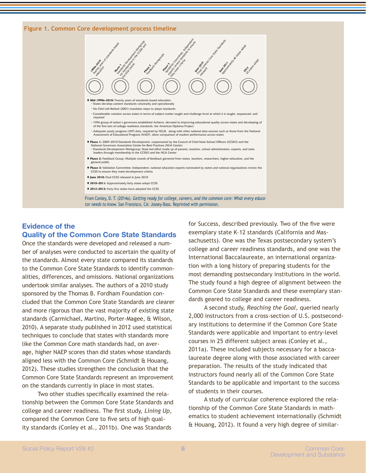

# **Evidence of the Quality of the Common Core State Standards**

Once the standards were developed and released a number of analyses were conducted to ascertain the quality of the standards. Almost every state compared its standards to the Common Core State Standards to identify commonalities, differences, and omissions. National organizations undertook similar analyses. The authors of a 2010 study sponsored by the Thomas B. Fordham Foundation concluded that the Common Core State Standards are clearer and more rigorous than the vast majority of existing state standards (Carmichael, Martino, Porter-Magee, & Wilson, 2010). A separate study published in 2012 used statistical techniques to conclude that states with standards more like the Common Core math standards had, on average, higher NAEP scores than did states whose standards aligned less with the Common Core (Schmidt & Houang, 2012). These studies strengthen the conclusion that the Common Core State Standards represent an improvement on the standards currently in place in most states.

Two other studies specifically examined the relationship between the Common Core State Standards and college and career readiness. The first study, *Lining Up*, compared the Common Core to five sets of high quality standards (Conley et al., 2011b). One was Standards

for Success, described previously. Two of the five were exemplary state K–12 standards (California and Massachusetts). One was the Texas postsecondary system's college and career readiness standards, and one was the International Baccalaureate, an international organization with a long history of preparing students for the most demanding postsecondary institutions in the world. The study found a high degree of alignment between the Common Core State Standards and these exemplary standards geared to college and career readiness.

A second study, *Reaching the Goal,* queried nearly 2,000 instructors from a cross-section of U.S. postsecondary institutions to determine if the Common Core State Standards were applicable and important to entry-level courses in 25 different subject areas (Conley et al., 2011a). These included subjects necessary for a baccalaureate degree along with those associated with career preparation. The results of the study indicated that instructors found nearly all of the Common Core State Standards to be applicable and important to the success of students in their courses.

A study of curricular coherence explored the relationship of the Common Core State Standards in mathematics to student achievement internationally (Schmidt & Houang, 2012). It found a very high degree of similar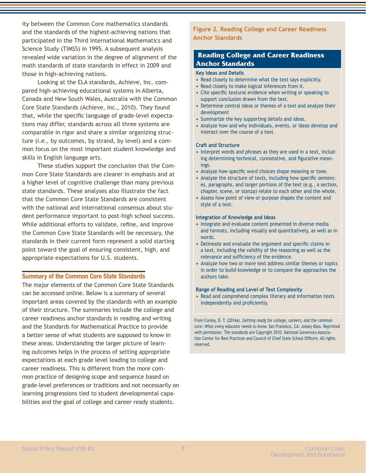ity between the Common Core mathematics standards and the standards of the highest-achieving nations that participated in the Third International Mathematics and Science Study (TIMSS) in 1995. A subsequent analysis revealed wide variation in the degree of alignment of the math standards of state standards in effect in 2009 and those in high-achieving nations.

Looking at the ELA standards, Achieve, Inc. compared high-achieving educational systems in Alberta, Canada and New South Wales, Australia with the Common Core State Standards (Achieve, Inc., 2010). They found that, while the specific language of grade-level expectations may differ, standards across all three systems are comparable in rigor and share a similar organizing structure (i.e., by outcomes, by strand, by level) and a common focus on the most important student knowledge and skills in English language arts.

These studies support the conclusion that the Common Core State Standards are clearer in emphasis and at a higher level of cognitive challenge than many previous state standards. These analyses also illustrate the fact that the Common Core State Standards are consistent with the national and international consensus about student performance important to post-high school success. While additional efforts to validate, refine, and improve the Common Core State Standards will be necessary, the standards in their current form represent a solid starting point toward the goal of ensuring consistent, high, and appropriate expectations for U.S. students.

#### **Summary of the Common Core State Standards**

The major elements of the Common Core State Standards can be accessed online. Below is a summary of several important areas covered by the standards with an example of their structure. The summaries include the college and career readiness anchor standards in reading and writing and the Standards for Mathematical Practice to provide a better sense of what students are supposed to know in these areas. Understanding the larger picture of learning outcomes helps in the process of setting appropriate expectations at each grade level leading to college and career readiness. This is different from the more common practice of designing scope and sequence based on grade-level preferences or traditions and not necessarily on learning progressions tied to student developmental capabilities and the goal of college and career ready students.

**Figure 2. Reading College and Career Readiness Anchor Standards**

# **Reading College and Career Readiness Anchor Standards**

#### **Key Ideas and Details**

- Read closely to determine what the text says explicitly.
- Read closely to make logical inferences from it.
- Cite specific textural evidence when writing or speaking to support conclusion drawn from the text.
- Determine central ideas or themes of a text and analyze their development
- Summarize the key supporting details and ideas.
- Analyze how and why individuals, events, or ideas develop and interact over the course of a text.

#### **Craft and Structure**

- Interpret words and phrases as they are used in a text, including determining technical, connotative, and figurative meanings.
- Analyze how specific word choices shape meaning or tone.
- Analyze the structure of texts, including how specific sentences, paragraphs, and larger portions of the text (e.g., a section, chapter, scene, or stanza) relate to each other and the whole.
- Assess how point of view or purpose shapes the content and style of a text.

#### **Integration of Knowledge and Ideas**

- Integrate and evaluate content presented in diverse media and formats, including visually and quantitatively, as well as in words.
- Delineate and evaluate the argument and specific claims in a text, including the validity of the reasoning as well as the relevance and sufficiency of the evidence.
- Analyze how two or more text address similar themes or topics in order to build knowledge or to compare the approaches the authors take.

#### **Range of Reading and Level of Text Complexity**

• Read and comprehend complex literary and information texts independently and proficiently.

From Conley, D. T. (2014a). *Getting ready for college, careers, and the common core: What every educator needs to know.* San Fransisco, CA: Jossey-Bass. Reprinted with permission. The standards are Copyright 2010. National Governors Association Center for Best Practices and Council of Chief State School Officers. All rights reserved.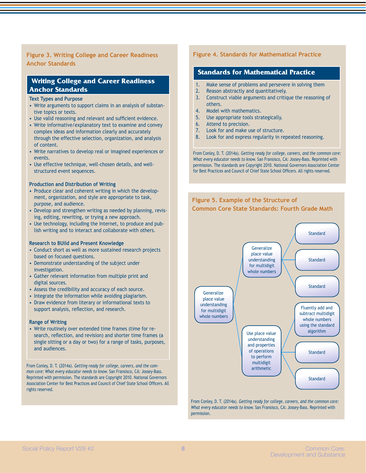# **Figure 3. Writing College and Career Readiness Anchor Standards**

# **Writing College and Career Readiness Anchor Standards**

#### **Text Types and Purpose**

- Write arguments to support claims in an analysis of substantive topics or texts.
- Use valid reasoning and relevant and sufficient evidence.
- Write informative/explanatory text to examine and convey complex ideas and information clearly and accurately through the effective selection, organization, and analysis of content.
- Write narratives to develop real or imagined experiences or events.
- Use effective technique, well-chosen details, and wellstructured event sequences.

#### **Production and Distribution of Writing**

- Produce clear and coherent writing in which the development, organization, and style are appropriate to task, purpose, and audience.
- Develop and strengthen writing as needed by planning, revising, editing, rewriting, or trying a new approach.
- Use technology, including the Internet, to produce and publish writing and to interact and collaborate with others.

#### **Research to BUild and Present Knowledge**

- Conduct short as well as more sustained research projects based on focused questions.
- Demonstrate understanding of the subject under investigation.
- Gather relevant information from multiple print and digital sources.
- Assess the credibility and accuracy of each source.
- Integrate the information while avoiding plagiarism.
- Draw evidence from literary or informational texts to support analysis, reflection, and research.

#### **Range of Writing**

• Write routinely over extended time frames (time for research, reflection, and revision) and shorter time frames (a single sitting or a day or two) for a range of tasks, purposes, and audiences.

From Conley, D. T. (2014a). *Getting ready for college, careers, and the common core: What every educator needs to know.* San Fransisco, CA: Jossey-Bass. Reprinted with permission. The standards are Copyright 2010. National Governors Association Center for Best Practices and Council of Chief State School Officers. All rights reserved.

#### **Figure 4. Standards for Mathematical Practice**

#### **Standards for Mathematical Practice**

- 1. Make sense of problems and persevere in solving them
- 2. Reason abstractly and quantitatively.
- 3. Construct viable arguments and critique the reasoning of others.
- 4. Model with mathematics.
- 5. Use appropriate tools strategically.
- 6. Attend to precision.
- 7. Look for and make use of structure.
- 8. Look for and express regularity in repeated reasoning.

From Conley, D. T. (2014a). *Getting ready for college, careers, and the common core: What every educator needs to know.* San Fransisco, CA: Jossey-Bass. Reprinted with permission. The standards are Copyright 2010. National Governors Association Center for Best Practices and Council of Chief State School Officers. All rights reserved.

# **Figure 5. Example of the Structure of Common Core State Standards: Fourth Grade Math**



From Conley, D. T. (2014a). *Getting ready for college, careers, and the common core: What every educator needs to know.* San Fransisco, CA: Jossey-Bass. Reprinted with permission.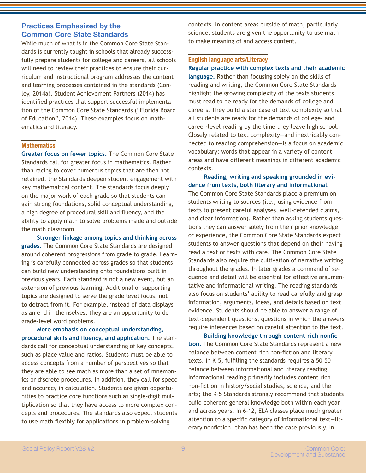# **Practices Emphasized by the Common Core State Standards**

While much of what is in the Common Core State Standards is currently taught in schools that already successfully prepare students for college and careers, all schools will need to review their practices to ensure their curriculum and instructional program addresses the content and learning processes contained in the standards (Conley, 2014a). Student Achievement Partners (2014) has identified practices that support successful implementation of the Common Core State Standards ("Florida Board of Education", 2014). These examples focus on mathematics and literacy.

# **Mathematics**

**Greater focus on fewer topics.** The Common Core State Standards call for greater focus in mathematics. Rather than racing to cover numerous topics that are then not retained, the Standards deepen student engagement with key mathematical content. The standards focus deeply on the major work of each grade so that students can gain strong foundations, solid conceptual understanding, a high degree of procedural skill and fluency, and the ability to apply math to solve problems inside and outside the math classroom.

**Stronger linkage among topics and thinking across grades.** The Common Core State Standards are designed around coherent progressions from grade to grade. Learning is carefully connected across grades so that students can build new understanding onto foundations built in previous years. Each standard is not a new event, but an extension of previous learning. Additional or supporting topics are designed to serve the grade level focus, not to detract from it. For example, instead of data displays as an end in themselves, they are an opportunity to do grade-level word problems.

**More emphasis on conceptual understanding, procedural skills and fluency, and application.** The standards call for conceptual understanding of key concepts, such as place value and ratios. Students must be able to access concepts from a number of perspectives so that they are able to see math as more than a set of mnemonics or discrete procedures. In addition, they call for speed and accuracy in calculation. Students are given opportunities to practice core functions such as single-digit multiplication so that they have access to more complex concepts and procedures. The standards also expect students to use math flexibly for applications in problem-solving

contexts. In content areas outside of math, particularly science, students are given the opportunity to use math to make meaning of and access content.

#### **English language arts/Literacy**

**Regular practice with complex texts and their academic language.** Rather than focusing solely on the skills of reading and writing, the Common Core State Standards highlight the growing complexity of the texts students must read to be ready for the demands of college and careers. They build a staircase of text complexity so that all students are ready for the demands of college- and career-level reading by the time they leave high school. Closely related to text complexity—and inextricably connected to reading comprehension—is a focus on academic vocabulary: words that appear in a variety of content areas and have different meanings in different academic contexts.

**Reading, writing and speaking grounded in evidence from texts, both literary and informational.**  The Common Core State Standards place a premium on students writing to sources (i.e., using evidence from texts to present careful analyses, well-defended claims, and clear information). Rather than asking students questions they can answer solely from their prior knowledge or experience, the Common Core State Standards expect students to answer questions that depend on their having read a text or texts with care. The Common Core State Standards also require the cultivation of narrative writing throughout the grades. In later grades a command of sequence and detail will be essential for effective argumentative and informational writing. The reading standards also focus on students' ability to read carefully and grasp information, arguments, ideas, and details based on text evidence. Students should be able to answer a range of text-dependent questions, questions in which the answers require inferences based on careful attention to the text.

**Building knowledge through content-rich nonfiction.** The Common Core State Standards represent a new balance between content rich non-fiction and literary texts. In K–5, fulfilling the standards requires a 50–50 balance between informational and literary reading. Informational reading primarily includes content rich non-fiction in history/social studies, science, and the arts; the K–5 Standards strongly recommend that students build coherent general knowledge both within each year and across years. In 6–12, ELA classes place much greater attention to a specific category of informational text—literary nonfiction—than has been the case previously. In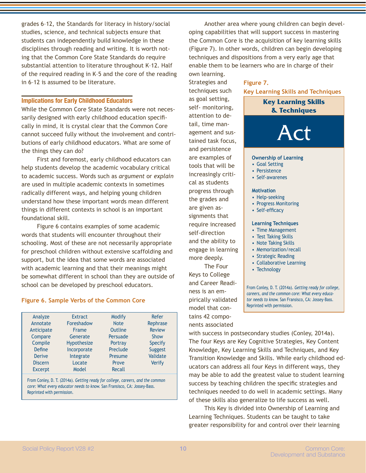grades 6–12, the Standards for literacy in history/social studies, science, and technical subjects ensure that students can independently build knowledge in these disciplines through reading and writing. It is worth noting that the Common Core State Standards do require substantial attention to literature throughout K–12. Half of the required reading in K–5 and the core of the reading in 6–12 is assumed to be literature.

### **Implications for Early Childhood Educators**

While the Common Core State Standards were not necessarily designed with early childhood education specifically in mind, it is crystal clear that the Common Core cannot succeed fully without the involvement and contributions of early childhood educators. What are some of the things they can do?

First and foremost, early childhood educators can help students develop the academic vocabulary critical to academic success. Words such as *argument* or *explain*  are used in multiple academic contexts in sometimes radically different ways, and helping young children understand how these important words mean different things in different contexts in school is an important foundational skill.

Figure 6 contains examples of some academic words that students will encounter throughout their schooling. Most of these are not necessarily appropriate for preschool children without extensive scaffolding and support, but the idea that some words are associated with academic learning and that their meanings might be somewhat different in school than they are outside of school can be developed by preschool educators.

#### **Figure 6. Sample Verbs of the Common Core**

| Analyze        | <b>Extract</b> | Modify         | Refer          |  |
|----------------|----------------|----------------|----------------|--|
| Annotate       | Foreshadow     | <b>Note</b>    | Rephrase       |  |
| Anticipate     | Frame          | <b>Outline</b> | <b>Review</b>  |  |
| Compare        | Generate       | Persuade       | Show           |  |
| Compile        | Hypothesize    | Portray        | <b>Specify</b> |  |
| <b>Define</b>  | Incorporate    | Preclude       | Suggest        |  |
| <b>Derive</b>  | Integrate      | Presume        | Validate       |  |
| <b>Discern</b> | Locate         | Prove          | Verify         |  |
| <b>Excerpt</b> | Model          | Recall         |                |  |
|                |                |                |                |  |

From Conley, D. T. (2014a). *Getting ready for college, careers, and the common core: What every educator needs to know.* San Fransisco, CA: Jossey-Bass. Reprinted with permission.

Another area where young children can begin developing capabilities that will support success in mastering the Common Core is the acquisition of key learning skills (Figure 7). In other words, children can begin developing techniques and dispositions from a very early age that enable them to be learners who are in charge of their own learning.

**Figure 7.** 

Strategies and techniques such as goal setting, self- monitoring, attention to detail, time management and sustained task focus, and persistence are examples of tools that will be increasingly critical as students progress through the grades and are given assignments that require increased self-direction and the ability to engage in learning more deeply.

The Four Keys to College and Career Readiness is an empirically validated model that contains 42 components associated

# **Key Learning Skills & Techniques** Act

**Key Learning Skills and Techniques**

#### **Ownership of Learning**

- Goal Setting
- Persistence
- Self-awarenes

#### **Motivation**

- Help-seeking
- Progress Monitoring
- Self-efficacy

#### **Learning Techniques**

- Time Management
- Test Taking Skills
- Note Taking Skills
- Memorization/recall
- Strategic Reading
- Collaborative Learning
- Technology

From Conley, D. T. (2014a). *Getting ready for college, careers, and the common core: What every educator needs to know.* San Fransisco, CA: Jossey-Bass. Reprinted with permission.

with success in postsecondary studies (Conley, 2014a). The four Keys are Key Cognitive Strategies, Key Content Knowledge, Key Learning Skills and Techniques, and Key Transition Knowledge and Skills. While early childhood educators can address all four Keys in different ways, they may be able to add the greatest value to student learning success by teaching children the specific strategies and techniques needed to do well in academic settings. Many of these skills also generalize to life success as well.

This Key is divided into Ownership of Learning and Learning Techniques. Students can be taught to take greater responsibility for and control over their learning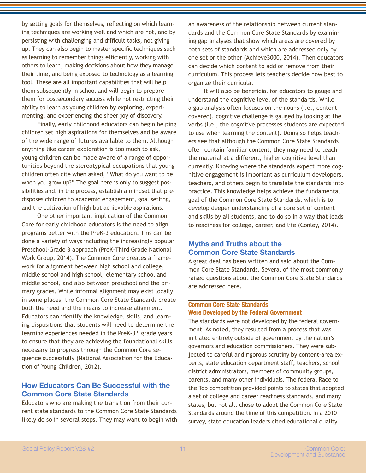by setting goals for themselves, reflecting on which learning techniques are working well and which are not, and by persisting with challenging and difficult tasks, not giving up. They can also begin to master specific techniques such as learning to remember things efficiently, working with others to learn, making decisions about how they manage their time, and being exposed to technology as a learning tool. These are all important capabilities that will help them subsequently in school and will begin to prepare them for postsecondary success while not restricting their ability to learn as young children by exploring, experimenting, and experiencing the sheer joy of discovery.

Finally, early childhood educators can begin helping children set high aspirations for themselves and be aware of the wide range of futures available to them. Although anything like career exploration is too much to ask, young children can be made aware of a range of opportunities beyond the stereotypical occupations that young children often cite when asked, "What do you want to be when you grow up?" The goal here is only to suggest possibilities and, in the process, establish a mindset that predisposes children to academic engagement, goal setting, and the cultivation of high but achievable aspirations.

One other important implication of the Common Core for early childhood educators is the need to align programs better with the PreK-3 education. This can be done a variety of ways including the increasingly popular Preschool-Grade 3 approach (PreK-Third Grade National Work Group, 2014). The Common Core creates a framework for alignment between high school and college, middle school and high school, elementary school and middle school, and also between preschool and the primary grades. While informal alignment may exist locally in some places, the Common Core State Standards create both the need and the means to increase alignment. Educators can identify the knowledge, skills, and learning dispositions that students will need to determine the learning experiences needed in the PreK-3rd grade years to ensure that they are achieving the foundational skills necessary to progress through the Common Core sequence successfully (National Association for the Education of Young Children, 2012).

# **How Educators Can Be Successful with the Common Core State Standards**

Educators who are making the transition from their current state standards to the Common Core State Standards likely do so in several steps. They may want to begin with an awareness of the relationship between current standards and the Common Core State Standards by examining gap analyses that show which areas are covered by both sets of standards and which are addressed only by one set or the other (Achieve3000, 2014). Then educators can decide which content to add or remove from their curriculum. This process lets teachers decide how best to organize their curricula.

It will also be beneficial for educators to gauge and understand the cognitive level of the standards. While a gap analysis often focuses on the nouns (i.e., content covered), cognitive challenge is gauged by looking at the verbs (i.e., the cognitive processes students are expected to use when learning the content). Doing so helps teachers see that although the Common Core State Standards often contain familiar content, they may need to teach the material at a different, higher cognitive level than currently. Knowing where the standards expect more cognitive engagement is important as curriculum developers, teachers, and others begin to translate the standards into practice. This knowledge helps achieve the fundamental goal of the Common Core State Standards, which is to develop deeper understanding of a core set of content and skills by all students, and to do so in a way that leads to readiness for college, career, and life (Conley, 2014).

# **Myths and Truths about the Common Core State Standards**

A great deal has been written and said about the Common Core State Standards. Several of the most commonly raised questions about the Common Core State Standards are addressed here.

## **Common Core State Standards Were Developed by the Federal Government**

The standards were not developed by the federal government. As noted, they resulted from a process that was initiated entirely outside of government by the nation's governors and education commissioners. They were subjected to careful and rigorous scrutiny by content-area experts, state education department staff, teachers, school district administrators, members of community groups, parents, and many other individuals. The federal Race to the Top competition provided points to states that adopted a set of college and career readiness standards, and many states, but not all, chose to adopt the Common Core State Standards around the time of this competition. In a 2010 survey, state education leaders cited educational quality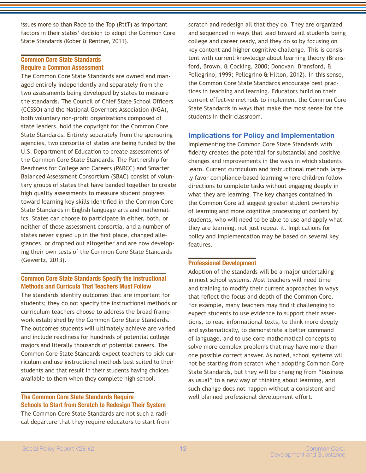issues more so than Race to the Top (RttT) as important factors in their states' decision to adopt the Common Core State Standards (Kober & Rentner, 2011).

# **Common Core State Standards Require a Common Assessment**

The Common Core State Standards are owned and managed entirely independently and separately from the two assessments being developed by states to measure the standards. The Council of Chief State School Officers (CCSSO) and the National Governors Association (NGA), both voluntary non-profit organizations composed of state leaders, hold the copyright for the Common Core State Standards. Entirely separately from the sponsoring agencies, two consortia of states are being funded by the U.S. Department of Education to create assessments of the Common Core State Standards. The Partnership for Readiness for College and Careers (PARCC) and Smarter Balanced Assessment Consortium (SBAC) consist of voluntary groups of states that have banded together to create high quality assessments to measure student progress toward learning key skills identified in the Common Core State Standards in English language arts and mathematics. States can choose to participate in either, both, or neither of these assessment consortia, and a number of states never signed up in the first place, changed allegiances, or dropped out altogether and are now developing their own tests of the Common Core State Standards (Gewertz, 2013).

# **Common Core State Standards Specify the Instructional Methods and Curricula That Teachers Must Follow**

The standards identify outcomes that are important for students; they do not specify the instructional methods or curriculum teachers choose to address the broad framework established by the Common Core State Standards. The outcomes students will ultimately achieve are varied and include readiness for hundreds of potential college majors and literally thousands of potential careers. The Common Core State Standards expect teachers to pick curriculum and use instructional methods best suited to their students and that result in their students having choices available to them when they complete high school.

# **The Common Core State Standards Require Schools to Start from Scratch to Redesign Their System**

The Common Core State Standards are not such a radical departure that they require educators to start from scratch and redesign all that they do. They are organized and sequenced in ways that lead toward all students being college and career ready, and they do so by focusing on key content and higher cognitive challenge. This is consistent with current knowledge about learning theory (Bransford, Brown, & Cocking, 2000; Donovan, Bransford, & Pellegrino, 1999; Pellegrino & Hilton, 2012). In this sense, the Common Core State Standards encourage best practices in teaching and learning. Educators build on their current effective methods to implement the Common Core State Standards in ways that make the most sense for the students in their classroom.

# **Implications for Policy and Implementation**

Implementing the Common Core State Standards with fidelity creates the potential for substantial and positive changes and improvements in the ways in which students learn. Current curriculum and instructional methods largely favor compliance-based learning where children follow directions to complete tasks without engaging deeply in what they are learning. The key changes contained in the Common Core all suggest greater student ownership of learning and more cognitive processing of content by students, who will need to be able to use and apply what they are learning, not just repeat it. Implications for policy and implementation may be based on several key features.

## **Professional Development**

Adoption of the standards will be a major undertaking in most school systems. Most teachers will need time and training to modify their current approaches in ways that reflect the focus and depth of the Common Core. For example, many teachers may find it challenging to expect students to use evidence to support their assertions, to read informational texts, to think more deeply and systematically, to demonstrate a better command of language, and to use core mathematical concepts to solve more complex problems that may have more than one possible correct answer. As noted, school systems will not be starting from scratch when adopting Common Core State Standards, but they will be changing from "business as usual" to a new way of thinking about learning, and such change does not happen without a consistent and well planned professional development effort.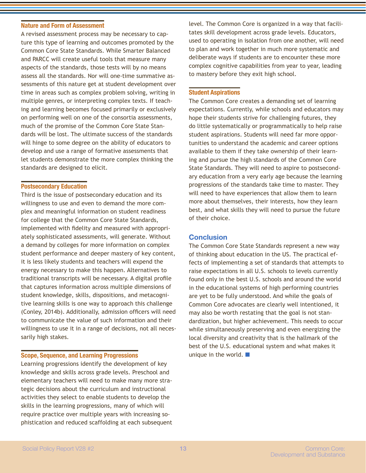#### **Nature and Form of Assessment**

A revised assessment process may be necessary to capture this type of learning and outcomes promoted by the Common Core State Standards. While Smarter Balanced and PARCC will create useful tools that measure many aspects of the standards, those tests will by no means assess all the standards. Nor will one-time summative assessments of this nature get at student development over time in areas such as complex problem solving, writing in multiple genres, or interpreting complex texts. If teaching and learning becomes focused primarily or exclusively on performing well on one of the consortia assessments, much of the promise of the Common Core State Standards will be lost. The ultimate success of the standards will hinge to some degree on the ability of educators to develop and use a range of formative assessments that let students demonstrate the more complex thinking the standards are designed to elicit.

## **Postsecondary Education**

Third is the issue of postsecondary education and its willingness to use and even to demand the more complex and meaningful information on student readiness for college that the Common Core State Standards, implemented with fidelity and measured with appropriately sophisticated assessments, will generate. Without a demand by colleges for more information on complex student performance and deeper mastery of key content, it is less likely students and teachers will expend the energy necessary to make this happen. Alternatives to traditional transcripts will be necessary. A digital profile that captures information across multiple dimensions of student knowledge, skills, dispositions, and metacognitive learning skills is one way to approach this challenge (Conley, 2014b). Additionally, admission officers will need to communicate the value of such information and their willingness to use it in a range of decisions, not all necessarily high stakes.

#### **Scope, Sequence, and Learning Progressions**

Learning progressions identify the development of key knowledge and skills across grade levels. Preschool and elementary teachers will need to make many more strategic decisions about the curriculum and instructional activities they select to enable students to develop the skills in the learning progressions, many of which will require practice over multiple years with increasing sophistication and reduced scaffolding at each subsequent level. The Common Core is organized in a way that facilitates skill development across grade levels. Educators, used to operating in isolation from one another, will need to plan and work together in much more systematic and deliberate ways if students are to encounter these more complex cognitive capabilities from year to year, leading to mastery before they exit high school.

# **Student Aspirations**

The Common Core creates a demanding set of learning expectations. Currently, while schools and educators may hope their students strive for challenging futures, they do little systematically or programmatically to help raise student aspirations. Students will need far more opportunities to understand the academic and career options available to them if they take ownership of their learning and pursue the high standards of the Common Core State Standards. They will need to aspire to postsecondary education from a very early age because the learning progressions of the standards take time to master. They will need to have experiences that allow them to learn more about themselves, their interests, how they learn best, and what skills they will need to pursue the future of their choice.

# **Conclusion**

The Common Core State Standards represent a new way of thinking about education in the US. The practical effects of implementing a set of standards that attempts to raise expectations in all U.S. schools to levels currently found only in the best U.S. schools and around the world in the educational systems of high performing countries are yet to be fully understood. And while the goals of Common Core advocates are clearly well intentioned, it may also be worth restating that the goal is not standardization, but higher achievement. This needs to occur while simultaneously preserving and even energizing the local diversity and creativity that is the hallmark of the best of the U.S. educational system and what makes it unique in the world.  $\blacksquare$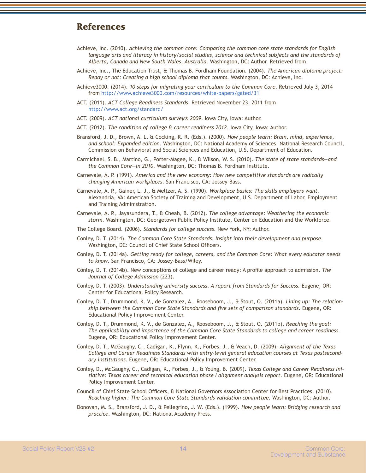# **References**

- Achieve, Inc. (2010). *Achieving the common core: Comparing the common core state standards for English language arts and literacy in history/social studies, science and technical subjects and the standards of Alberta, Canada and New South Wales, Australia.* Washington, DC: Author. Retrieved from
- Achieve, Inc., The Education Trust, & Thomas B. Fordham Foundation. (2004). *The American diploma project: Ready or not: Creating a high school diploma that counts.* Washington, DC: Achieve, Inc.
- Achieve3000. (2014). *10 steps for migrating your curriculum to the Common Core*. Retrieved July 3, 2014 from http://www.achieve3000.com/resources/white-papers/gated/31
- ACT. (2011). *ACT College Readiness Standards*. Retrieved November 23, 2011 from http://www.act.org/standard/
- ACT. (2009). *ACT national curriculum survey® 2009*. Iowa City, Iowa: Author.
- ACT. (2012). *The condition of college & career readiness 2012*. Iowa City, Iowa: Author.
- Bransford, J. D., Brown, A. L. & Cocking, R. R. (Eds.). (2000). *How people learn: Brain, mind, experience, and school: Expanded edition*. Washington, DC: National Academy of Sciences, National Research Council, Commission on Behavioral and Social Sciences and Education, U.S. Department of Education.
- Carmichael, S. B., Martino, G., Porter-Magee, K., & Wilson, W. S. (2010). *The state of state standards—and the Common Core—in 2010.* Washington, DC: Thomas B. Fordham Institute.
- Carnevale, A. P. (1991). *America and the new economy: How new competitive standards are radically changing American workplaces*. San Francisco, CA: Jossey-Bass.
- Carnevale, A. P., Gainer, L. J., & Meltzer, A. S. (1990). *Workplace basics: The skills employers want.* Alexandria, VA: American Society of Training and Development, U.S. Department of Labor, Employment and Training Administration.
- Carnevale, A. P., Jayasundera, T., & Cheah, B. (2012). *The college advantage: Weathering the economic storm.* Washington, DC: Georgetown Public Policy Institute, Center on Education and the Workforce.
- The College Board. (2006). *Standards for college success*. New York, NY: Author.
- Conley, D. T. (2014). *The Common Core State Standards: Insight into their development and purpose*. Washington, DC: Council of Chief State School Officers.
- Conley, D. T. (2014a). *Getting ready for college, careers, and the Common Core: What every educator needs to know*. San Francisco, CA: Jossey-Bass/Wiley.
- Conley, D. T. (2014b). New conceptions of college and career ready: A profile approach to admission. *The Journal of College Admission* (223).
- Conley, D. T. (2003). *Understanding university success. A report from Standards for Success.* Eugene, OR: Center for Educational Policy Research.
- Conley, D. T., Drummond, K. V., de Gonzalez, A., Rooseboom, J., & Stout, O. (2011a). *Lining up: The relationship between the Common Core State Standards and five sets of comparison standards.* Eugene, OR: Educational Policy Improvement Center.
- Conley, D. T., Drummond, K. V., de Gonzalez, A., Rooseboom, J., & Stout, O. (2011b). *Reaching the goal: The applicability and importance of the Common Core State Standards to college and career readiness.* Eugene, OR: Educational Policy Improvement Center.
- Conley, D. T., McGaughy, C., Cadigan, K., Flynn, K., Forbes, J., & Veach, D. (2009). *Alignment of the Texas College and Career Readiness Standards with entry-level general education courses at Texas postsecondary institutions.* Eugene, OR: Educational Policy Improvement Center.
- Conley, D., McGaughy, C., Cadigan, K., Forbes, J., & Young, B. (2009). *Texas College and Career Readiness Initiative: Texas career and technical education phase I alignment analysis report.* Eugene, OR: Educational Policy Improvement Center.
- Council of Chief State School Officers, & National Governors Association Center for Best Practices. (2010). *Reaching higher: The Common Core State Standards validation committee.* Washington, DC: Author.
- Donovan, M. S., Bransford, J. D., & Pellegrino, J. W. (Eds.). (1999). *How people learn: Bridging research and practice*. Washington, DC: National Academy Press.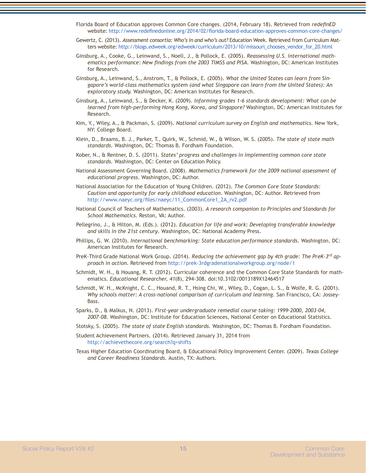- Florida Board of Education approves Common Core changes. (2014, February 18). Retrieved from *redefinED* website: http://www.redefinedonline.org/2014/02/florida-board-education-approves-common-core-changes/
- Gewertz, C. (2013). *Assessment consortia: Who's in and who's out?* Education Week. Retrieved from Curriculum Matters website: http://blogs.edweek.org/edweek/curriculum/2013/10/missouri\_chooses\_vendor\_for\_20.html
- Ginsburg, A., Cooke, G., Leinwand, S., Noell, J., & Pollock, E. (2005). *Reassessing U.S. international mathematics performance: New findings from the 2003 TIMSS and PISA.* Washington, DC: American Institutes for Research.
- Ginsburg, A., Leinwand, S., Anstrom, T., & Pollock, E. (2005). *What the United States can learn from Singapore's world-class mathematics system (and what Singapore can learn from the United States): An exploratory study.* Washington, DC: American Institutes for Research.
- Ginsburg, A., Leinwand, S., & Decker, K. (2009). *Informing grades 1-6 standards development: What can be learned from high-performing Hong Kong, Korea, and Singapore?* Washington, DC: American Institutes for Research.
- Kim, Y., Wiley, A., & Packman, S. (2009). *National curriculum survey on English and mathematics*. New York, NY: College Board.
- Klein, D., Braams, B. J., Parker, T., Quirk, W., Schmid, W., & Wilson, W. S. (2005). *The state of state math standards.* Washington, DC: Thomas B. Fordham Foundation.
- Kober, N., & Rentner, D. S. (2011). *States' progress and challenges in implementing common core state standards.* Washington, DC: Center on Education Policy.
- National Assessment Governing Board. (2008). *Mathematics framework for the 2009 national assessment of educational progress*. Washington, DC: Author.
- National Association for the Education of Young Children. (2012). *The Common Core State Standards: Caution and opportunity for early childhood education*. Washington, DC: Author. Retrieved from http://www.naeyc.org/files/naeyc/11\_CommonCore1\_2A\_rv2.pdf
- National Council of Teachers of Mathematics. (2003). *A research companion to Principles and Standards for School Mathematics.* Reston, VA: Author.
- Pellegrino, J., & Hilton, M. (Eds.). (2012). *Education for life and work: Developing transferable knowledge and skills in the 21st century*. Washington, DC: National Academy Press.
- Phillips, G. W. (2010). *International benchmarking: State education performance standards.* Washington, DC: American Institutes for Research.
- PreK-Third Grade National Work Group. (2014). *Reducing the achievement gap by 4th grade: The PreK-3rd approach in action.* Retrieved from http://prek-3rdgradenationalworkgroup.org/node/1
- Schmidt, W. H., & Houang, R. T. (2012). Curricular coherence and the Common Core State Standards for mathematics. *Educational Researcher, 41*(8), 294-308. doi:10.3102/0013189X12464517
- Schmidt, W. H., McKnight, C. C., Houand, R. T., Hsing Chi, W., Wiley, D., Cogan, L. S., & Wolfe, R. G. (2001). *Why schools matter: A cross-national comparison of curriculum and learning.* San Francisco, CA: Jossey-Bass.
- Sparks, D., & Malkus, N. (2013). *First-year undergraduate remedial course taking: 1999–2000, 2003–04, 2007–08.* Washington, DC: Institute for Education Sciences, National Center on Educational Statistics.
- Stotsky, S. (2005). *The state of state English standards.* Washington, DC: Thomas B. Fordham Foundation.
- Student Achievement Partners. (2014). Retrieved January 31, 2014 from http://achievethecore.org/search?q=shifts
- Texas Higher Education Coordinating Board, & Educational Policy Improvement Center. (2009). *Texas College and Career Readiness Standards.* Austin, TX: Authors.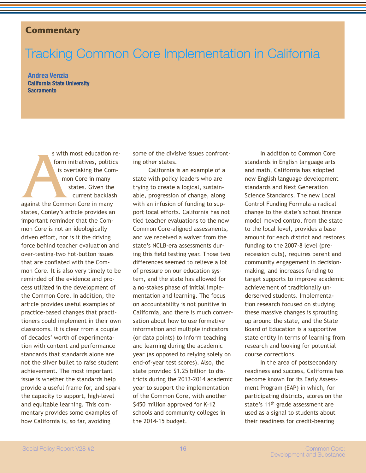# **Commentary**

# Tracking Common Core Implementation in California

**Andrea Venzia California State University Sacramento**

s with<br>form<br>is o'm s with most education reform initiatives, politics is overtaking the Com mon Core in many states. Given the current backlash

against the Common Core in many states, Conley's article provides an important reminder that the Common Core is not an ideologically driven effort, nor is it the driving force behind teacher evaluation and over-testing–two hot-button issues that are conflated with the Common Core. It is also very timely to be reminded of the evidence and process utilized in the development of the Common Core. In addition, the article provides useful examples of practice-based changes that practitioners could implement in their own classrooms. It is clear from a couple of decades' worth of experimentation with content and performance standards that standards alone are not the silver bullet to raise student achievement. The most important issue is whether the standards help provide a useful frame for, and spark the capacity to support, high-level and equitable learning. This commentary provides some examples of how California is, so far, avoiding

some of the divisive issues confronting other states.

California is an example of a state with policy leaders who are trying to create a logical, sustainable, progression of change, along with an infusion of funding to support local efforts. California has not tied teacher evaluations to the new Common Core-aligned assessments, and we received a waiver from the state's NCLB-era assessments during this field testing year. Those two differences seemed to relieve a lot of pressure on our education system, and the state has allowed for a no-stakes phase of initial implementation and learning. The focus on accountability is not punitive in California, and there is much conversation about how to use formative information and multiple indicators (or data points) to inform teaching and learning during the academic year (as opposed to relying solely on end-of-year test scores). Also, the state provided \$1.25 billion to districts during the 2013–2014 academic year to support the implementation of the Common Core, with another \$450 million approved for K-12 schools and community colleges in the 2014–15 budget.

In addition to Common Core standards in English language arts and math, California has adopted new English language development standards and Next Generation Science Standards. The new Local Control Funding Formula–a radical change to the state's school finance model–moved control from the state to the local level, provides a base amount for each district and restores funding to the 2007-8 level (prerecession cuts), requires parent and community engagement in decisionmaking, and increases funding to target supports to improve academic achievement of traditionally underserved students. Implementation research focused on studying these massive changes is sprouting up around the state, and the State Board of Education is a supportive state entity in terms of learning from research and looking for potential course corrections.

In the area of postsecondary readiness and success, California has become known for its Early Assessment Program (EAP) in which, for participating districts, scores on the state's 11<sup>th</sup> grade assessment are used as a signal to students about their readiness for credit-bearing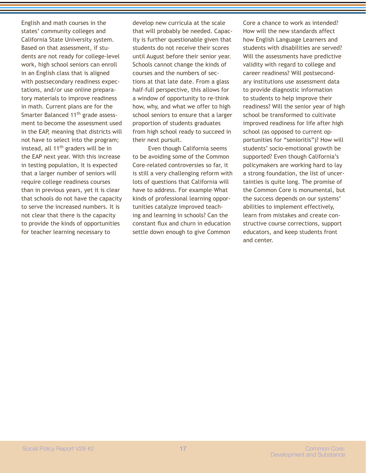English and math courses in the states' community colleges and California State University system. Based on that assessment, if students are not ready for college-level work, high school seniors can enroll in an English class that is aligned with postsecondary readiness expectations, and/or use online preparatory materials to improve readiness in math. Current plans are for the Smarter Balanced 11<sup>th</sup> grade assessment to become the assessment used in the EAP, meaning that districts will not have to select into the program; instead, all 11<sup>th</sup> graders will be in the EAP next year. With this increase in testing population, it is expected that a larger number of seniors will require college readiness courses than in previous years, yet it is clear that schools do not have the capacity to serve the increased numbers. It is not clear that there is the capacity to provide the kinds of opportunities for teacher learning necessary to

develop new curricula at the scale that will probably be needed. Capacity is further questionable given that students do not receive their scores until August before their senior year. Schools cannot change the kinds of courses and the numbers of sections at that late date. From a glass half-full perspective, this allows for a window of opportunity to re-think how, why, and what we offer to high school seniors to ensure that a larger proportion of students graduates from high school ready to succeed in their next pursuit.

Even though California seems to be avoiding some of the Common Core-related controversies so far, it is still a very challenging reform with lots of questions that California will have to address. For example–What kinds of professional learning opportunities catalyze improved teaching and learning in schools? Can the constant flux and churn in education settle down enough to give Common

Core a chance to work as intended? How will the new standards affect how English Language Learners and students with disabilities are served? Will the assessments have predictive validity with regard to college and career readiness? Will postsecondary institutions use assessment data to provide diagnostic information to students to help improve their readiness? Will the senior year of high school be transformed to cultivate improved readiness for life after high school (as opposed to current opportunities for "senioritis")? How will students' socio-emotional growth be supported? Even though California's policymakers are working hard to lay a strong foundation, the list of uncertainties is quite long. The promise of the Common Core is monumental, but the success depends on our systems' abilities to implement effectively, learn from mistakes and create constructive course corrections, support educators, and keep students front and center.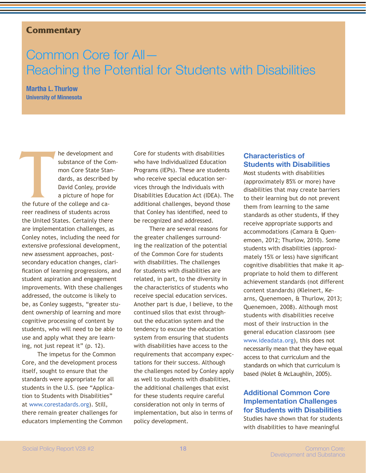# **Commentary**

# Common Core for All— Reaching the Potential for Students with Disabilities

**Martha L. Thurlow University of Minnesota**

the future of he development and substance of the Common Core State Standards, as described by David Conley, provide a picture of hope for the future of the college and ca-

reer readiness of students across the United States. Certainly there are implementation challenges, as Conley notes, including the need for extensive professional development, new assessment approaches, postsecondary education changes, clarification of learning progressions, and student aspiration and engagement improvements. With these challenges addressed, the outcome is likely to be, as Conley suggests, "greater student ownership of learning and more cognitive processing of content by students, who will need to be able to use and apply what they are learning, not just repeat it" (p. 12).

The impetus for the Common Core, and the development process itself, sought to ensure that the standards were appropriate for all students in the U.S. (see "Application to Students with Disabilities" at www.corestadards.org). Still, there remain greater challenges for educators implementing the Common Core for students with disabilities who have Individualized Education Programs (IEPs). These are students who receive special education services through the Individuals with Disabilities Education Act (IDEA). The additional challenges, beyond those that Conley has identified, need to be recognized and addressed.

There are several reasons for the greater challenges surrounding the realization of the potential of the Common Core for students with disabilities. The challenges for students with disabilities are related, in part, to the diversity in the characteristics of students who receive special education services. Another part is due, I believe, to the continued silos that exist throughout the education system and the tendency to excuse the education system from ensuring that students with disabilities have access to the requirements that accompany expectations for their success. Although the challenges noted by Conley apply as well to students with disabilities, the additional challenges that exist for these students require careful consideration not only in terms of implementation, but also in terms of policy development.

# **Characteristics of Students with Disabilities**

Most students with disabilities (approximately 85% or more) have disabilities that may create barriers to their learning but do not prevent them from learning to the same standards as other students, **if** they receive appropriate supports and accommodations (Camara & Quenemoen, 2012; Thurlow, 2010). Some students with disabilities (approximately 15% or less) have significant cognitive disabilities that make it appropriate to hold them to different achievement standards (not different content standards) (Kleinert, Kearns, Quenemoen, & Thurlow, 2013; Quenemoen, 2008). Although most students with disabilities receive most of their instruction in the general education classroom (see www.ideadata.org), this does not necessarily mean that they have equal access to that curriculum and the standards on which that curriculum is based (Nolet & McLaughlin, 2005).

# **Additional Common Core Implementation Challenges for Students with Disabilities**

Studies have shown that for students with disabilities to have meaningful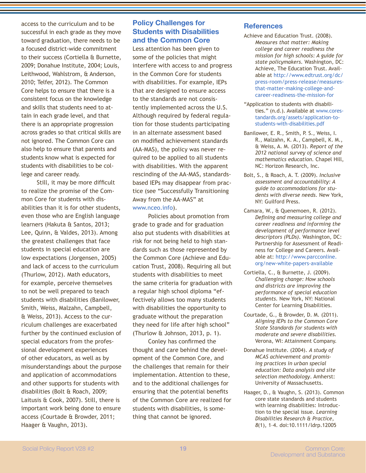access to the curriculum and to be successful in each grade as they move toward graduation, there needs to be a focused district-wide commitment to their success (Cortiella & Burnette, 2009; Donahue Institute, 2004; Louis, Leithwood, Wahlstrom, & Anderson, 2010; Telfer, 2012). The Common Core helps to ensure that there is a consistent focus on the knowledge and skills that students need to attain in each grade level, and that there is an appropriate progression across grades so that critical skills are not ignored. The Common Core can also help to ensure that parents and students know what is expected for students with disabilities to be college and career ready.

Still, it may be more difficult to realize the promise of the Common Core for students with disabilities than it is for other students, even those who are English language learners (Hakuta & Santos, 2013; Lee, Quinn, & Valdes, 2013). Among the greatest challenges that face students in special education are low expectations (Jorgensen, 2005) and lack of access to the curriculum (Thurlow, 2012). Math educators, for example, perceive themselves to not be well prepared to teach students with disabilities (Banilower, Smith, Weiss, Malzahn, Campbell, & Weiss, 2013). Access to the curriculum challenges are exacerbated further by the continued exclusion of special educators from the professional development experiences of other educators, as well as by misunderstandings about the purpose and application of accommodations and other supports for students with disabilities (Bolt & Roach, 2009; Laitusis & Cook, 2007). Still, there is important work being done to ensure access (Courtade & Browder, 2011; Haager & Vaughn, 2013).

# **Policy Challenges for Students with Disabilities and the Common Core**

Less attention has been given to some of the policies that might interfere with access to and progress in the Common Core for students with disabilities. For example, IEPs that are designed to ensure access to the standards are not consistently implemented across the U.S. Although required by federal regulation for those students participating in an alternate assessment based on modified achievement standards (AA-MAS), the policy was never required to be applied to all students with disabilities. With the apparent rescinding of the AA-MAS, standardsbased IEPs may disappear from practice (see "Successfully Transitioning Away from the AA-MAS" at www.nceo.info).

Policies about promotion from grade to grade and for graduation also put students with disabilities at risk for not being held to high standards such as those represented by the Common Core (Achieve and Education Trust, 2008). Requiring all but students with disabilities to meet the same criteria for graduation with a regular high school diploma "effectively allows too many students with disabilities the opportunity to graduate without the preparation they need for life after high school" (Thurlow & Johnson, 2013, p. 1).

Conley has confirmed the thought and care behind the development of the Common Core, and the challenges that remain for their implementation. Attention to these, and to the additional challenges for ensuring that the potential benefits of the Common Core are realized for students with disabilities, is something that cannot be ignored.

# **References**

- Achieve and Education Trust. (2008). *Measures that matter: Making college and career readiness the mission for high schools: A guide for state policymakers.* Washington, DC: Achieve, The Education Trust. Available at http://www.edtrust.org/dc/ press-room/press-release/measuresthat-matter-making-college-andcareer-readiness-the-mission-for
- "Application to students with disabilities." (n.d.). Available at www.corestandards.org/assets/application-tostudents-with-disabilities.pdf
- Banilower, E. R., Smith, P. S., Weiss, I. R., Malzahn, K. A., Campbell, K. M., & Weiss, A. M. (2013). *Report of the 2012 national survey of science and mathematics education.* Chapel Hill, NC: Horizon Research, Inc.
- Bolt, S., & Roach, A. T. (2009). *Inclusive assessment and accountability: A guide to accommodations for students with diverse needs.* New York, NY: Guilford Press.
- Camara, W., & Quenemoen, R. (2012). *Defining and measuring college and career readiness and informing the development of performance level descriptors (PLDs)*. Washington, DC: Partnership for Assessment of Readiness for College and Careers. Available at: http://www.parcconline. org/new-white-papers-available
- Cortiella, C., & Burnette, J. (2009). *Challenging change: How schools and districts are improving the performance of special education students.* New York, NY: National Center for Learning Disabilities.
- Courtade, G., & Browder, D. M. (2011). *Aligning IEPs to the Common Core State Standards for students with moderate and severe disabilities.*  Verona, WI: Attainment Company.
- Donahue Institute. (2004). *A study of MCAS achievement and promising practices in urban special education: Data analysis and site selection methodology*. Amherst: University of Massachusetts.
- Haager, D., & Vaughn, S. (2013). Common core state standards and students with learning disabilities: Introduction to the special issue. *Learning Disabilities Research & Practice, 8*(1), 1–4. doi:10.1111/ldrp.12005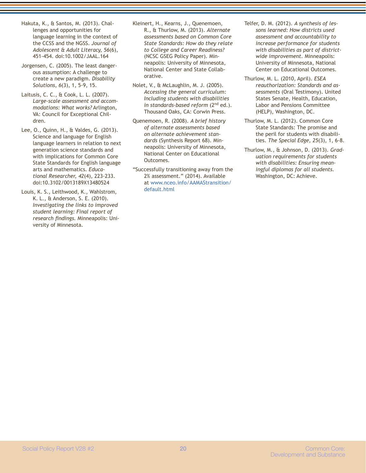- Hakuta, K., & Santos, M. (2013). Challenges and opportunities for language learning in the context of the CCSS and the NGSS. *Journal of Adolescent & Adult Literacy, 56*(6), 451-454. doi:10.1002/JAAL.164
- Jorgensen, C. (2005). The least dangerous assumption: A challenge to create a new paradigm. *Disability Solutions, 6*(3), 1, 5-9, 15.
- Laitusis, C. C., & Cook, L. L. (2007). *Large-scale assessment and accommodations: What works?* Arlington, VA: Council for Exceptional Children.
- Lee, O., Quinn, H., & Valdes, G. (2013). Science and language for English language learners in relation to next generation science standards and with implications for Common Core State Standards for English language arts and mathematics. *Educational Researcher, 42*(4), 223-233. doi:10.3102/0013189X13480524
- Louis, K. S., Leithwood, K., Wahlstrom, K. L., & Anderson, S. E. (2010). *Investigating the links to improved student learning: Final report of research findings.* Minneapolis: University of Minnesota.
- Kleinert, H., Kearns, J., Quenemoen, R., & Thurlow, M. (2013). *Alternate assessments based on Common Core State Standards: How do they relate to College and Career Readiness?*  (NCSC GSEG Policy Paper)*.* Minneapolis: University of Minnesota, National Center and State Collaborative.
- Nolet, V., & McLaughlin, M. J. (2005). *Accessing the general curriculum: Including students with disabilities in standards-based reform* (2nd ed.). Thousand Oaks, CA: Corwin Press.
- Quenemoen, R. (2008). *A brief history of alternate assessments based on alternate achievement standards* (Synthesis Report 68). Minneapolis: University of Minnesota, National Center on Educational Outcomes.
- "Successfully transitioning away from the 2% assessment." (2014). Available at www.nceo.info/AAMAStransition/ default.html
- Telfer, D. M. (2012). *A synthesis of lessons learned: How districts used assessment and accountability to increase performance for students with disabilities as part of districtwide improvement.* Minneapolis: University of Minnesota, National Center on Educational Outcomes.
- Thurlow, M. L. (2010, April). *ESEA reauthorization: Standards and assessments* (Oral Testimony). United States Senate, Health, Education, Labor and Pensions Committee (HELP), Washington, DC.
- Thurlow, M. L. (2012). Common Core State Standards: The promise and the peril for students with disabilities. *The Special Edge, 25*(3), 1, 6-8.
- Thurlow, M., & Johnson, D. (2013). *Graduation requirements for students with disabilities: Ensuring meaningful diplomas for all students.*  Washington, DC: Achieve.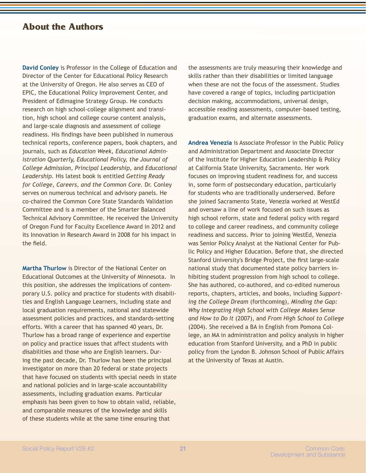# **About the Authors**

**David Conley** is Professor in the College of Education and Director of the Center for Educational Policy Research at the University of Oregon. He also serves as CEO of EPIC, the Educational Policy Improvement Center, and President of EdImagine Strategy Group. He conducts research on high school-college alignment and transition, high school and college course content analysis, and large-scale diagnosis and assessment of college readiness. His findings have been published in numerous technical reports, conference papers, book chapters, and journals, such as *Education Week, Educational Administration Quarterly, Educational Policy, the Journal of College Admission, Principal Leadership,* and *Educational Leadership.* His latest book is entitled *Getting Ready for College, Careers, and the Common Core.* Dr. Conley serves on numerous technical and advisory panels. He co-chaired the Common Core State Standards Validation Committee and is a member of the Smarter Balanced Technical Advisory Committee. He received the University of Oregon Fund for Faculty Excellence Award in 2012 and its Innovation in Research Award in 2008 for his impact in the field.

**Martha Thurlow** is Director of the National Center on Educational Outcomes at the University of Minnesota. In this position, she addresses the implications of contemporary U.S. policy and practice for students with disabilities and English Language Learners, including state and local graduation requirements, national and statewide assessment policies and practices, and standards-setting efforts. With a career that has spanned 40 years, Dr. Thurlow has a broad range of experience and expertise on policy and practice issues that affect students with disabilities and those who are English learners. During the past decade, Dr. Thurlow has been the principal investigator on more than 20 federal or state projects that have focused on students with special needs in state and national policies and in large-scale accountability assessments, including graduation exams. Particular emphasis has been given to how to obtain valid, reliable, and comparable measures of the knowledge and skills of these students while at the same time ensuring that

the assessments are truly measuring their knowledge and skills rather than their disabilities or limited language when these are not the focus of the assessment. Studies have covered a range of topics, including participation decision making, accommodations, universal design, accessible reading assessments, computer-based testing, graduation exams, and alternate assessments.

**Andrea Venezia** is Associate Professor in the Public Policy and Administration Department and Associate Director of the Institute for Higher Education Leadership & Policy at California State University, Sacramento. Her work focuses on improving student readiness for, and success in, some form of postsecondary education, particularly for students who are traditionally underserved. Before she joined Sacramento State, Venezia worked at WestEd and oversaw a line of work focused on such issues as high school reform, state and federal policy with regard to college and career readiness, and community college readiness and success. Prior to joining WestEd, Venezia was Senior Policy Analyst at the National Center for Public Policy and Higher Education. Before that, she directed Stanford University's Bridge Project, the first large-scale national study that documented state policy barriers inhibiting student progression from high school to college. She has authored, co-authored, and co-edited numerous reports, chapters, articles, and books, including *Supporting the College Dream* (forthcoming), *Minding the Gap: Why Integrating High School with College Makes Sense and How to Do It* (2007), and *From High School to College*  (2004). She received a BA in English from Pomona College, an MA in administration and policy analysis in higher education from Stanford University, and a PhD in public policy from the Lyndon B. Johnson School of Public Affairs at the University of Texas at Austin.